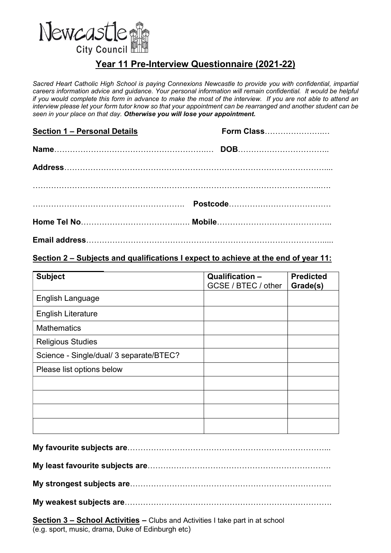

# Year 11 Pre-Interview Questionnaire (2021-22)

Sacred Heart Catholic High School is paying Connexions Newcastle to provide you with confidential, impartial careers information advice and guidance. Your personal information will remain confidential. It would be helpful if you would complete this form in advance to make the most of the interview. If you are not able to attend an interview please let your form tutor know so that your appointment can be rearranged and another student can be seen in your place on that day. Otherwise you will lose your appointment.

| Section 1 - Personal Details | <b>Form Class</b> |
|------------------------------|-------------------|
|                              |                   |
|                              |                   |
|                              |                   |
|                              |                   |
|                              |                   |

#### Section 2 – Subjects and qualifications I expect to achieve at the end of year 11:

| <b>Subject</b>                          | Qualification -<br>GCSE / BTEC / other | <b>Predicted</b><br>Grade(s) |
|-----------------------------------------|----------------------------------------|------------------------------|
| English Language                        |                                        |                              |
| <b>English Literature</b>               |                                        |                              |
| <b>Mathematics</b>                      |                                        |                              |
| <b>Religious Studies</b>                |                                        |                              |
| Science - Single/dual/ 3 separate/BTEC? |                                        |                              |
| Please list options below               |                                        |                              |
|                                         |                                        |                              |
|                                         |                                        |                              |
|                                         |                                        |                              |
|                                         |                                        |                              |

Section 3 – School Activities – Clubs and Activities I take part in at school (e.g. sport, music, drama, Duke of Edinburgh etc)